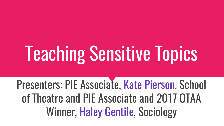# Teaching Sensitive Topics

Presenters: PIE Associate, Kate Pierson, School of Theatre and PIE Associate and 2017 OTAA Winner, Haley Gentile, Sociology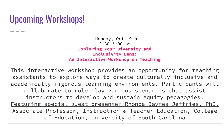### Upcoming Workshops!

 Monday, Oct. 9th 3:30-5:00 pm **Exploring Your Diversity and Inclusivity Lens: An Interactive Workshop on Teaching**

This interactive workshop provides an opportunity for teaching assistants to explore ways to create culturally inclusive and academically rigorous learning environments. Participants will collaborate to role play various scenarios that assist instructors to develop and sustain equity pedagogies. Featuring special guest presenter Rhonda Baynes Jeffries, PhD, Associate Professor, Instruction & Teacher Education, College of Education, University of South Carolina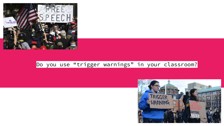

### Do you use "trigger warnings" in your classroom?

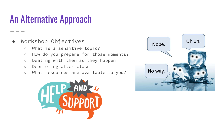### An Alternative Approach

- Workshop Objectives
	- What is a sensitive topic?
	- How do you prepare for those moments?
	- Dealing with them as they happen
	- Debriefing after class
	- What resources are available to you?



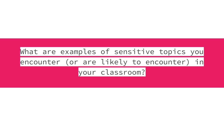### What are examples of sensitive topics you encounter (or are likely to encounter) in your classroom?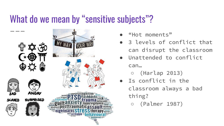### What do we mean by "sensitive subjects"?



- ""Hot moments"
- 3 levels of conflict that can disrupt the classroom
- Unattended to conflict

can…

- (Harlap 2013)
- Is conflict in the classroom always a bad thing?
	- (Palmer 1987)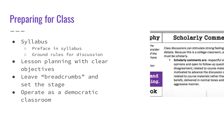# Preparing for Class

### ● Syllabus

- Preface in syllabus
- Ground rules for discussion
- Lesson planning with clear objectives
- Leave "breadcrumbs" and set the stage
- Operate as a democratic classroom

|                                          | <b>Scholarly Comme</b>                                                                                                                                                                                                                                                                                                                                                                          |
|------------------------------------------|-------------------------------------------------------------------------------------------------------------------------------------------------------------------------------------------------------------------------------------------------------------------------------------------------------------------------------------------------------------------------------------------------|
| the<br>onsider<br>of the<br>have<br>:ion | Class discussions can stimulate strong feeling<br>debate. Because this is a college classroom, a<br>must be scholarly.<br>Scholarly comments are: respectful o<br>opinions and open to follow-up quest<br>disagreement; related to course mate<br>motivated to advance the discussion<br>related to course materials rather tha<br>beliefs; delivered in normal tones and<br>aggressive manner. |
| and<br>ing.                              |                                                                                                                                                                                                                                                                                                                                                                                                 |
|                                          |                                                                                                                                                                                                                                                                                                                                                                                                 |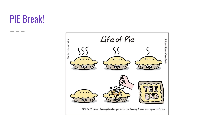### PIE Break!

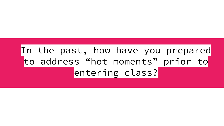### In the past, how have you prepared to address "hot moments" prior to entering class?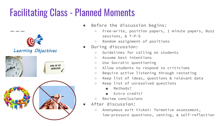### Facilitating Class - Planned Moments



- Before the discussion begins:
	- Free-write, position papers, 1 minute papers, Buzz sessions, & T-P-S
	- Random assignment of positions
- During discussion:
	- Guidelines for calling on students
	- Assume best intentions
	- Use Socratic questioning
	- Allow students to respond to criticisms
	- Require active listening through restating
	- Keep list of ideas, questions & relevant data
	- Keep list of unresolved questions
		- Methods?
		- Extra credit?
	- Review conclusions
- After discussion:
	- Anonymous exit ticket: formative assessment, low-pressure questions, venting, & self-reflection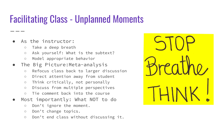### Facilitating Class - Unplanned Moments

- As the instructor:
	- Take a deep breath
	- Ask yourself: What is the subtext?
	- Model appropriate behavior
- The Big Picture:Meta-analysis
	- Refocus class back to larger discussion
	- Direct attention away from student
	- Think critically, not personally
	- Discuss from multiple perspectives
	- Tie comment back into the course
- Most importantly: What NOT to do
	- Don't ignore the moment.
	- Don't change topics.
	- Don't end class without discussing it.

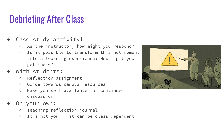### Debriefing After Class

- Case study activity!
	- As the instructor, how might you respond?
	- Is it possible to transform this hot moment into a learning experience? How might you get there?
- With students:
	- Reflection assignment
	- Guide towards campus resources
	- Make yourself available for continued discussion
- On your own:
	- Teaching reflection journal
	- It's not you -- it can be class dependent

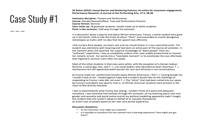### Case Study #1

Jill Dolan (2012): Casual Racism and Stuttering Failures: An ethics for classroom engagement, Performance Research: A Journal of the Performing Arts, 17:1, 38-46

Instructor discipline: Theatre and Performance Course: Gender/Sexuality/Race: Text and Performance Practice **Course format: Seminar** Class make up: 18 graduate students, mostly made up of white students. Point in the semester: half-way through the semester

In a discussion about a play by and about African Americans, Franny, a white student who grew up in the South, told us that she knew all about "them" and proceeded to mouth derogatory stereotypes as truths with no idea that her speech was offensive.

I felt my face flush deeply, my heart race and my mouth freeze in a non-committal smile. The student was extremely well-meaning and had been an active part of the course all semester. In the moment when she asserted her superior knowledge of "black people" from her "authentic" experience, I was so completely undone that I was unable productively to counter her remark, to turn her words into a "teachable moment" or to ameliorate the sour aftertaste that lingered in seminar room after she spoke.

Most of the other students in that class were white, with the exception of a Korean lesbian feminist, a Latino gay man, and T. J., a bi-racial lesbian who identifed as Asian American. T. J. had become the self-appointed watch-person for race and ethnicity in our conversations.

As Franny made her uninformed remarks about African Americans, I felt T. J. fuming beside me: I couldn't look at her. I hoped against hope that a student would take on the challenge of responding to Franny; none did, not even T. J. The "other" that had been called into our space by Franny's anecdotes was absent; that is, no African American students were present in the room to feel directly attacked.

I was so astonished by what Franny was saying, I couldn't think of a quick and adequate comeback. I was ashamed that halfway through the semester, all my teaching about race and gender and sexuality and social justice and all my political modelling apparently hadn't taught this student that she couldn't speak on behalf of or casually characterize an entire race of people based on her own very partial experience.

### **Discussion Questions:**

- As the instructor, how might you respond?
- Is it possible to transform this hot moment into a learning experience? How might you get there?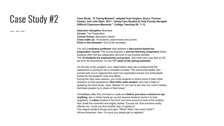Gase Study: "A Taxing Moment" adapted from Hughes, Bryce, Therese Ray Case Study: "A Taxing Moment" adapted from Hughes, Bryce, Therese **Case Studies to Help Faculty Navi Huston, and Julie Stein. 2011. "Using Case Studies to Help Faculty Navigate Difficult Classroom Moments."** *College Teaching* **59: 7–12.**

> **Instructor discipline**: Business **Course**: Tax Preparation **Course format:** discussion based **Class make up:** 18 students, sophomores and juniors **Point in the semester**: End of the semester

You are a **business professor** who teaches a **discussion-based tax preparation course**. The course features a **service-learning component** where students offer free tax preparation services to low-income families. The **18 students are sophomores and juniors**, and most have only filed an EZ tax form for themselves. It's the **13th week of the spring semester**.

On the day of the program, your observations lead you to believe that the experience is proving to be a complete success. The community leader who worked with you to organize the event has expressed sincere and enthusiastic thanks for the students' time and efforts. During the next class session, you invite students to share some of their initial reactions to their experience. **One white male student**, who has a habit of speaking his mind loudly, says, "Maybe it's not cool to say this, but I didn't realize that black people try to cheat on their taxes."

Immediately after this comment is made and **before you have a chance to say anything**, two or three hands go up and several students murmur to their neighbors. A **Latina** student in the front row turns around to look at the student who made the comment and angrily replies "Excuse me, that comment really offends me. Could you find another way of saying it? The original student shrugs and says, "What? Was it the world 'black'? African-American, then. I'm sorry you people get so agitated."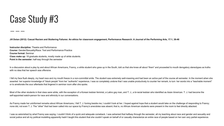### Case Study #3

**Jill Dolan (2012): Casual Racism and Stuttering Failures: An ethics for classroom engagement, Performance Research: A Journal of the Performing Arts, 17:1, 38-46**

**Instructor discipline:** Theatre and Performance **Course:** Gender/Sexuality/Race: Text and Performance Practice **Course format**: Seminar **Class make up:** 18 graduate students, mostly made up of white students. **Point in the semester**: half-way through the semester

In a discussion about a play by and about African Americans, Franny, a white student who grew up in the South, told us that she knew all about "them" and proceeded to mouth derogatory stereotypes as truths with no idea that her speech was offensive.

I felt my face flush deeply, my heart race and my mouth freeze in a non-committal smile. The student was extremely well-meaning and had been an active part of the course all semester. In the moment when she asserted her superior knowledge of "black people" from her "authentic" experience, I was so completely undone that I was unable productively to counter her remark, to turn her words into a "teachable moment" or to ameliorate the sour aftertaste that lingered in seminar room after she spoke.

Most of the other students in that class were white, with the exception of a Korean lesbian feminist, a Latino gay man, and T. J., a bi-racial lesbian who identified as Asian American. T. J. had become the self-appointed watch-person for race and ethnicity in our conversations.

As Franny made her uninformed remarks about African Americans, I felt T. J. fuming beside me; I couldn't look at her. I hoped against hope that a student would take on the challenge of responding to Franny; none did, not even T. J. The "other" that had been called into our space by Franny's anecdotes was absent; that is, no African American students were present in the room to feel directly attacked.

I was so astonished by what Franny was saying, I couldn't think of a quick and adequate comeback. I was ashamed that halfway through the semester, all my teaching about race and gender and sexuality and social justice and all my political modelling apparently hadn't taught this student that she couldn't speak on behalf of or casually characterize an entire race of people based on her own very partial experience.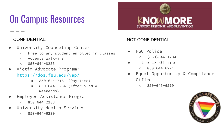# On Campus Resources

- University Counseling Center
	- Free to any student enrolled in classes
	- Accepts walk-ins
	- 850-644-8255
- Victim Advocate Program:

### <https://dos.fsu.edu/vap/>

- 850-644-7161 (Day-time)
- 850-644-1234 (After 5 pm & Weekends)
- Employee Assistance Program
	- 850-644-2288
- University Health Services
	- $0 850 644 6230$

# **KNOWMORE** SUPPORT, RESPONSE, AND PREVENTION

### CONFIDENTIAL: NOT CONFIDENTIAL:

- FSU Police
	- $0 (850)644 1234$
- Title TX Office
	- $0850 644 6271$
- Equal Opportunity & Compliance Office
	- 850-645-6519

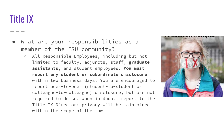### Title IX

- What are your responsibilities as a member of the FSU community?
	- All Responsible Employees, including but not limited to faculty, adjuncts, staff, **graduate assistants**, and student employees. **You must report any student or subordinate disclosure**  within two business days. You are encouraged to report peer-to-peer (student-to-student or colleague-to-colleague) disclosure, but are not required to do so. When in doubt, report to the Title IX Director; privacy will be maintained within the scope of the law.

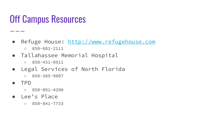### Off Campus Resources

- Refuge House:<http://www.refugehouse.com> ○ 850-681-2111
- Tallahassee Memorial Hospital
	- 850-431-0911
- Legal Services of North Florida
	- 850-385-9007
- TPD

- - -

- 850-891-4200
- Lee's Place
	- 850-841-7733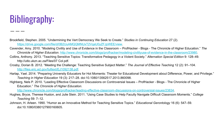# Bibliography:

- Brookfield, Stephen. 2005. "Undermining the Vert Democracy We Seek to Create." *Studies in Continuing Education* 27 (2)[.](https://drive.google.com/file/d/0B2UuAMQQMNUxT2VqaU0yZFJpWEE/view)  [https://drive.google.com/file/d/0B2UuAMQQMNUxT2VqaU0yZFJpWEE/view.](https://drive.google.com/file/d/0B2UuAMQQMNUxT2VqaU0yZFJpWEE/view)
- Cavender, Amy. 2010. "Modeling Civility and Use of Evidence in the Classroom ProfHacker Blogs The Chronicle of Higher Education." *The Chronicle of Higher Education*. [http://www.chronicle.com/blogs/profhacker/modeling-civilityuse-of-evidence-in-the-classroom/23980.](http://www.chronicle.com/blogs/profhacker/modeling-civilityuse-of-evidence-in-the-classroom/23980)
- Collins, Anthony. 2013. "Teaching Sensitive Topics: Transformative Pedagogy in a Violent Society." *Alternation Special Edition* 9: 128–49. http://utlo.ukzn.ac.za/Files/07 Col.pdf.
- Crosby, Dorian B. 2012. "Meeting the Challenge: Teaching Sensitive Subject Matter." *The Journal of Effective Teaching* 12 (2): 91–104. <http://files.eric.ed.gov/fulltext/EJ1092138.pdf>.
- Harlap, Yael. 2014. "Preparing University Educators for Hot Moments: Theater for Educational Development about Difference, Power, and Privilege." *Teaching in Higher Education* 19 (3): 217–28. doi:10.1080/13562517.2013.860098.
- Highberg, Nels P. 2010. "Leading Effective Classroom Discussions on Controversial Issues ProfHacker Blogs The Chronicle of Higher Education." *The Chronicle of Higher Education*[.](http://www.chronicle.com/blogs/profhacker/leading-effective-classroom-discussions-on-controversial-issues/23834)

<http://www.chronicle.com/blogs/profhacker/leading-effective-classroom-discussions-on-controversial-issues/23834>.

- Hughes, Bryce, Therese Huston, and Julie Stein. 2011. "Using Case Studies to Help Faculty Navigate Difficult Classroom Moments." *College Teaching* 59: 7–12.
- Johnson, H. Arleen. 1990. "Humor as an Innovative Method for Teaching Sensitive Topics." *Educational Gerontology* 16 (6): 547–59. doi:10.1080/0380127900160605.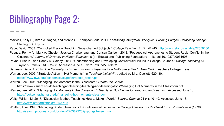### Bibliography Page 2:

Maxwell, Kelly E., Biren A. Nagda, and Monita C. Thompson, eds. 2011. *Facilitating Intergroup Dialogues: Building Bridges, Catalyzing Change*. Sterling, VA: Stylus.

Pace, David. 2003. "Controlled Fission: Teaching Supercharged Subjects." College Teaching 51 (2): 42–45. [http://www.jstor.org/stable/27559130.](http://www.jstor.org/stable/27559130)

Pasque, Penny A., Mark A. Chesler, Jessica Charbeneau, and Corissa Carlson. 2013. "Pedagogical Approaches to Student Racial Conflict in the Classroom." *Journal of Diversity in Higher Education* 6 (1). Educational Publishing Foundation: 1–16. doi:10.1037/a0031695.

Payne, Brian K., and Randy R. Gainey. 2017. "Understanding and Developing Controversial Issues in College Courses." *College Teaching* 51.

Taylor & Francis, Ltd.: 52–58. Accessed June 13. doi:10.2307/27559132.

Samuels, Dena R. 2014. *The Culturally Inclusive Educator : Preparing for a Multicultural World*. New York: Teachers College Press.

Warren, Lee. 2005. "Strategic Action in Hot Moments." In *Teaching Inclusivity* , edited by M.L. Ouellett, 620–30.

[https://www.hws.edu/academics/ctl/pdf/strategic\\_action.pdf](https://www.hws.edu/academics/ctl/pdf/strategic_action.pdf).

Warren, Lee. 2006. "Managing Hot Moments in the Classroom." *Derek Bok Center*.

https://www.csusm.edu/fc/teachingandlearning/teaching-and-learning-docs/Managing Hot Moments in the Classroom.pdf.

- Warren, Lee. 2017. "Managing Hot Moments in the Classroom." *The Derek Bok Center for Teaching and Learning*. Accessed June 13. [https://bokcenter.harvard.edu/managing-hot-moments-classroom.](https://bokcenter.harvard.edu/managing-hot-moments-classroom)
- Welty, William M. 2017. "Discussion Method Teaching: How to Make It Work." *Source: Change* 21 (4): 40–49. Accessed June 13. [http://www.jstor.org/stable/40164719.](http://www.jstor.org/stable/40164719)
- Whitten, Lisa. 1993. "Managing Student Reactions to Controversial Issues in the College Classroom ProQuest." *Transformations* 4 (1): 30. [http://search.proquest.com/docview/220382220?pq-origsite=summon.](http://search.proquest.com/docview/220382220?pq-origsite=summon)